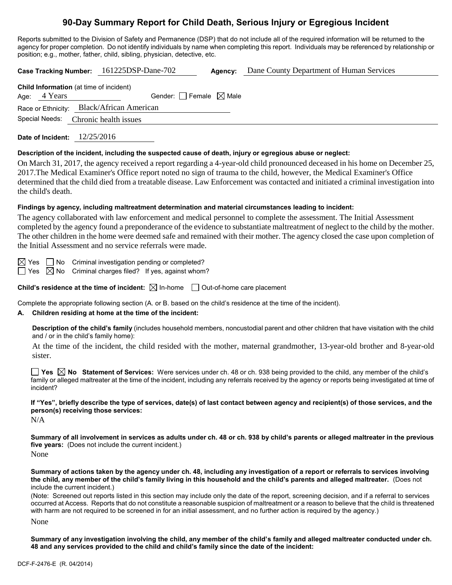# **90-Day Summary Report for Child Death, Serious Injury or Egregious Incident**

Reports submitted to the Division of Safety and Permanence (DSP) that do not include all of the required information will be returned to the agency for proper completion. Do not identify individuals by name when completing this report. Individuals may be referenced by relationship or position; e.g., mother, father, child, sibling, physician, detective, etc.

**Case Tracking Number:** 161225DSP-Dane-702 **Agency:** Dane County Department of Human Services **Child Information** (at time of incident)

|  | Age: $4$ Years | Gender: $\Box$ Female $\boxtimes$ Male    |  |  |  |
|--|----------------|-------------------------------------------|--|--|--|
|  |                | Race or Ethnicity: Black/African American |  |  |  |
|  |                | Special Needs: Chronic health issues      |  |  |  |
|  |                |                                           |  |  |  |

**Date of Incident:** 12/25/2016

#### **Description of the incident, including the suspected cause of death, injury or egregious abuse or neglect:**

On March 31, 2017, the agency received a report regarding a 4-year-old child pronounced deceased in his home on December 25, 2017.The Medical Examiner's Office report noted no sign of trauma to the child, however, the Medical Examiner's Office determined that the child died from a treatable disease. Law Enforcement was contacted and initiated a criminal investigation into the child's death.

#### **Findings by agency, including maltreatment determination and material circumstances leading to incident:**

The agency collaborated with law enforcement and medical personnel to complete the assessment. The Initial Assessment completed by the agency found a preponderance of the evidence to substantiate maltreatment of neglect to the child by the mother. The other children in the home were deemed safe and remained with their mother. The agency closed the case upon completion of the Initial Assessment and no service referrals were made.

 $\boxtimes$  Yes  $\Box$  No Criminal investigation pending or completed?

 $\Box$  Yes  $\boxtimes$  No Criminal charges filed? If yes, against whom?

**Child's residence at the time of incident:**  $\boxtimes$  In-home  $\Box$  Out-of-home care placement

Complete the appropriate following section (A. or B. based on the child's residence at the time of the incident).

### **A. Children residing at home at the time of the incident:**

**Description of the child's family** (includes household members, noncustodial parent and other children that have visitation with the child and / or in the child's family home):

At the time of the incident, the child resided with the mother, maternal grandmother, 13-year-old brother and 8-year-old sister.

**Yes No Statement of Services:** Were services under ch. 48 or ch. 938 being provided to the child, any member of the child's family or alleged maltreater at the time of the incident, including any referrals received by the agency or reports being investigated at time of incident?

**If "Yes", briefly describe the type of services, date(s) of last contact between agency and recipient(s) of those services, and the person(s) receiving those services:**

N/A

**Summary of all involvement in services as adults under ch. 48 or ch. 938 by child's parents or alleged maltreater in the previous five years:** (Does not include the current incident.)

None

**Summary of actions taken by the agency under ch. 48, including any investigation of a report or referrals to services involving the child, any member of the child's family living in this household and the child's parents and alleged maltreater.** (Does not include the current incident.)

(Note: Screened out reports listed in this section may include only the date of the report, screening decision, and if a referral to services occurred at Access. Reports that do not constitute a reasonable suspicion of maltreatment or a reason to believe that the child is threatened with harm are not required to be screened in for an initial assessment, and no further action is required by the agency.)

None

**Summary of any investigation involving the child, any member of the child's family and alleged maltreater conducted under ch. 48 and any services provided to the child and child's family since the date of the incident:**